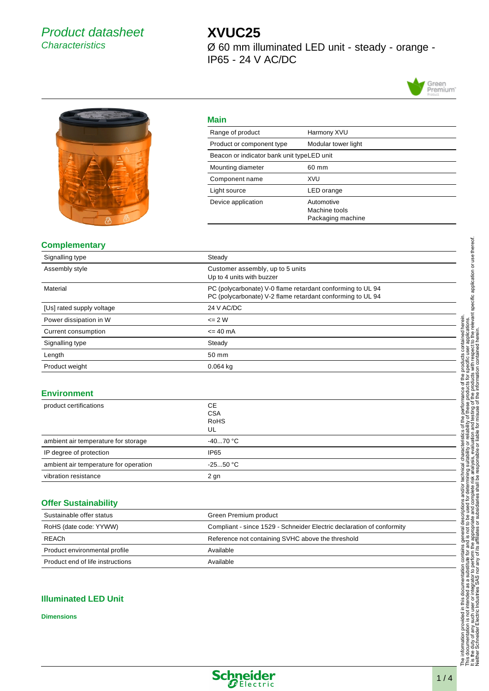## Product datasheet **Characteristics**

# **XVUC25**

Ø 60 mm illuminated LED unit - steady - orange - IP65 - 24 V AC/DC





#### **Main**

| Main                                       |                                                  |
|--------------------------------------------|--------------------------------------------------|
| Range of product                           | Harmony XVU                                      |
| Product or component type                  | Modular tower light                              |
| Beacon or indicator bank unit typeLED unit |                                                  |
| Mounting diameter                          | 60 mm                                            |
| Component name                             | XVU                                              |
| Light source                               | LED orange                                       |
| Device application                         | Automotive<br>Machine tools<br>Packaging machine |

#### **Complementary**

| Signalling type           | Steady                                                                                                                   |
|---------------------------|--------------------------------------------------------------------------------------------------------------------------|
| Assembly style            | Customer assembly, up to 5 units<br>Up to 4 units with buzzer                                                            |
| Material                  | PC (polycarbonate) V-0 flame retardant conforming to UL 94<br>PC (polycarbonate) V-2 flame retardant conforming to UL 94 |
| [Us] rated supply voltage | 24 V AC/DC                                                                                                               |
| Power dissipation in W    | $\leq$ 2 W                                                                                                               |
| Current consumption       | $= 40 \text{ mA}$                                                                                                        |
| Signalling type           | Steady                                                                                                                   |
| Length                    | 50 mm                                                                                                                    |
| Product weight            | $0.064$ kg                                                                                                               |

#### **Environment**

| product certifications                | <b>CE</b><br><b>CSA</b><br><b>RoHS</b><br>UL |
|---------------------------------------|----------------------------------------------|
| ambient air temperature for storage   | -4070 °C                                     |
| IP degree of protection               | IP <sub>65</sub>                             |
| ambient air temperature for operation | $-2550$ °C                                   |
| vibration resistance                  | $2$ gn                                       |

#### **Offer Sustainability**

| Sustainable offer status         | Green Premium product                                                 |
|----------------------------------|-----------------------------------------------------------------------|
| RoHS (date code: YYWW)           | Compliant - since 1529 - Schneider Electric declaration of conformity |
| REACh                            | Reference not containing SVHC above the threshold                     |
| Product environmental profile    | Available                                                             |
| Product end of life instructions | Available                                                             |

#### **Illuminated LED Unit**

**Dimensions**

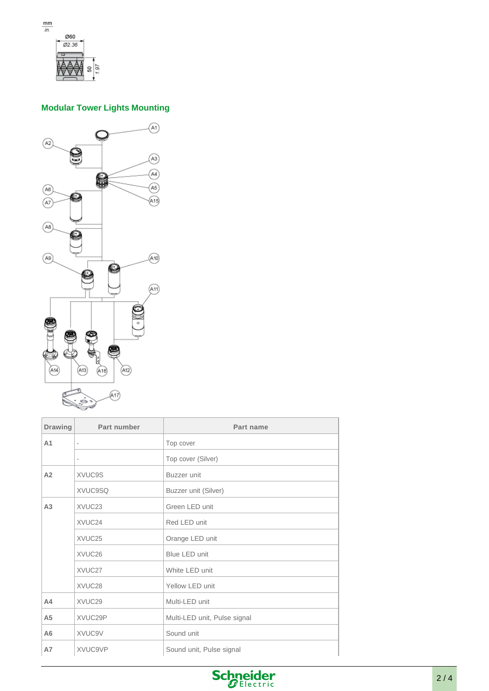

### **Modular Tower Lights Mounting**



| <b>Drawing</b> | Part number              | Part name                    |
|----------------|--------------------------|------------------------------|
| A <sub>1</sub> | $\overline{a}$           | Top cover                    |
|                | $\overline{\phantom{a}}$ | Top cover (Silver)           |
| A2             | XVUC9S                   | Buzzer unit                  |
|                | XVUC9SQ                  | Buzzer unit (Silver)         |
| A <sub>3</sub> | XVUC23                   | Green LED unit               |
|                | XVUC24                   | Red LED unit                 |
|                | XVUC25                   | Orange LED unit              |
|                | XVUC26                   | Blue LED unit                |
|                | XVUC27                   | White LED unit               |
|                | XVUC28                   | Yellow LED unit              |
| A <sub>4</sub> | XVUC29                   | Multi-LED unit               |
| A <sub>5</sub> | XVUC29P                  | Multi-LED unit, Pulse signal |
| A <sub>6</sub> | XVUC9V                   | Sound unit                   |
| A7             | XVUC9VP                  | Sound unit, Pulse signal     |

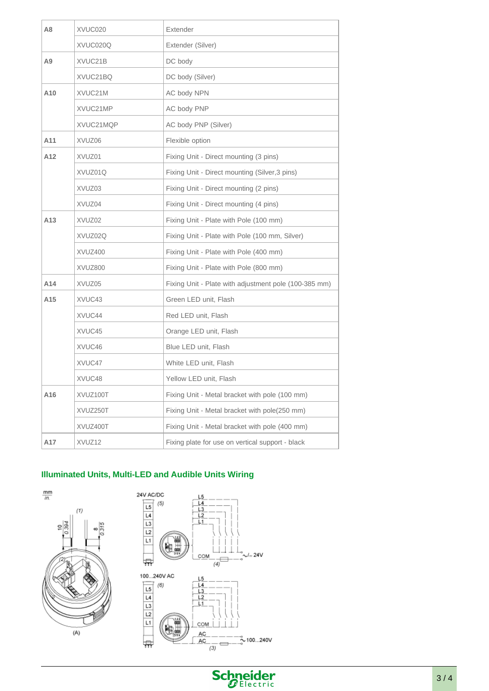| A8              | XVUC020   | Extender                                              |
|-----------------|-----------|-------------------------------------------------------|
|                 | XVUC020Q  | Extender (Silver)                                     |
| Α9              | XVUC21B   | DC body                                               |
|                 | XVUC21BQ  | DC body (Silver)                                      |
| A10             | XVUC21M   | AC body NPN                                           |
|                 | XVUC21MP  | AC body PNP                                           |
|                 | XVUC21MQP | AC body PNP (Silver)                                  |
| A11             | XVUZ06    | Flexible option                                       |
| A12             | XVUZ01    | Fixing Unit - Direct mounting (3 pins)                |
|                 | XVUZ01Q   | Fixing Unit - Direct mounting (Silver, 3 pins)        |
|                 | XVUZ03    | Fixing Unit - Direct mounting (2 pins)                |
|                 | XVUZ04    | Fixing Unit - Direct mounting (4 pins)                |
| A <sub>13</sub> | XVUZ02    | Fixing Unit - Plate with Pole (100 mm)                |
|                 | XVUZ02Q   | Fixing Unit - Plate with Pole (100 mm, Silver)        |
|                 | XVUZ400   | Fixing Unit - Plate with Pole (400 mm)                |
|                 | XVUZ800   | Fixing Unit - Plate with Pole (800 mm)                |
| A14             | XVUZ05    | Fixing Unit - Plate with adjustment pole (100-385 mm) |
| A15             | XVUC43    | Green LED unit, Flash                                 |
|                 | XVUC44    | Red LED unit, Flash                                   |
|                 | XVUC45    | Orange LED unit, Flash                                |
|                 | XVUC46    | Blue LED unit, Flash                                  |
|                 | XVUC47    | White LED unit, Flash                                 |
|                 | XVUC48    | Yellow LED unit, Flash                                |
| A16             | XVUZ100T  | Fixing Unit - Metal bracket with pole (100 mm)        |
|                 | XVUZ250T  | Fixing Unit - Metal bracket with pole(250 mm)         |
|                 | XVUZ400T  | Fixing Unit - Metal bracket with pole (400 mm)        |
| A17             | XVUZ12    | Fixing plate for use on vertical support - black      |
|                 |           |                                                       |

## **Illuminated Units, Multi-LED and Audible Units Wiring**